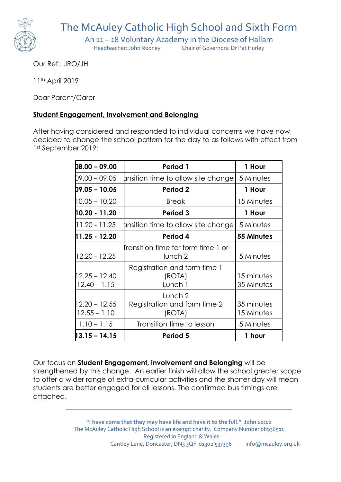

The McAuley Catholic High School and Sixth Form

An 11 – 18 Voluntary Academy in the Diocese of Hallam<br>Headteacher: John Rooney Chair of Governors: Dr Pat Hurley

Chair of Governors: Dr Pat Hurley

Our Ref: JRO/JH

11th April 2019

Dear Parent/Carer

## **Student Engagement, Involvement and Belonging**

After having considered and responded to individual concerns we have now decided to change the school pattern for the day to as follows with effect from 1st September 2019:

| $D8.00 - 09.00$                   | Period 1                                                        | 1 Hour                   |
|-----------------------------------|-----------------------------------------------------------------|--------------------------|
| D9.00 – 09.05                     | pnsition time to allow site change                              | 5 Minutes                |
| $D9.05 - 10.05$                   | Period 2                                                        | 1 Hour                   |
| 10.05 – 10.20                     | <b>Break</b>                                                    | 15 Minutes               |
| 10.20 - 11.20                     | Period 3                                                        | 1 Hour                   |
| 11.20 - 11.25                     | pnsition time to allow site change                              | 5 Minutes                |
| 11.25 - 12.20                     | Period 4                                                        | 55 Minutes               |
| $12.20 - 12.25$                   | <b>r</b> ansition time for form time 1 or<br>lunch <sub>2</sub> | 5 Minutes                |
| $12.25 - 12.40$<br>$12.40 - 1.15$ | Registration and form time 1<br>(ROTA)<br>Lunch 1               | 15 minutes<br>35 Minutes |
| $12.20 - 12.55$<br>$12.55 - 1.10$ | Lunch 2<br>Registration and form time 2<br>(ROTA)               | 35 minutes<br>15 Minutes |
| $1.10 - 1.15$                     | Transition time to lesson                                       | 5 Minutes                |
| 13.15 – 14.15                     | Period 5                                                        | 1 hour                   |

Our focus on **Student Engagement, involvement and Belonging** will be strengthened by this change. An earlier finish will allow the school greater scope to offer a wider range of extra-curricular activities and the shorter day will mean students are better engaged for all lessons. The confirmed bus timings are attached.

> **"I have come that they may have life and have it to the full." John 10:10** The McAuley Catholic High School is an exempt charity. Company Number 08936511 Registered in England & Wales Cantley Lane, Doncaster, DN<sub>3</sub> 3QF 01302 537396 info@mcauley.org.uk

**\_\_\_\_\_\_\_\_\_\_\_\_\_\_\_\_\_\_\_\_\_\_\_\_\_\_\_\_\_\_\_\_\_\_\_\_\_\_\_\_\_\_\_\_\_\_\_\_\_\_\_\_\_\_\_\_\_\_\_\_\_\_\_\_\_\_\_\_\_\_\_\_\_\_\_\_\_**